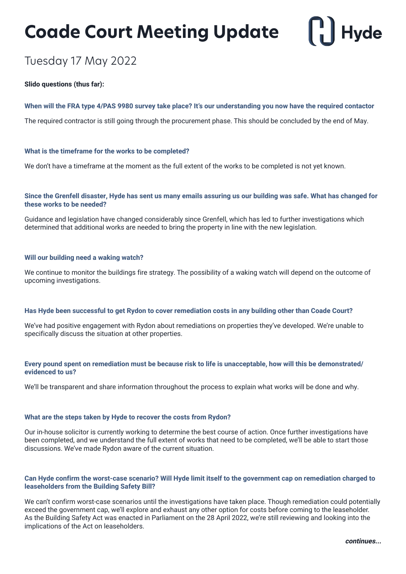## **Coade Court Meeting Update**

# **Hyde**

### Tuesday 17 May 2022

#### **Slido questions (thus far):**

#### **When will the FRA type 4/PAS 9980 survey take place? It's our understanding you now have the required contactor**

The required contractor is still going through the procurement phase. This should be concluded by the end of May.

#### **What is the timeframe for the works to be completed?**

We don't have a timeframe at the moment as the full extent of the works to be completed is not yet known.

#### **Since the Grenfell disaster, Hyde has sent us many emails assuring us our building was safe. What has changed for these works to be needed?**

Guidance and legislation have changed considerably since Grenfell, which has led to further investigations which determined that additional works are needed to bring the property in line with the new legislation.

#### **Will our building need a waking watch?**

We continue to monitor the buildings fire strategy. The possibility of a waking watch will depend on the outcome of upcoming investigations.

#### **Has Hyde been successful to get Rydon to cover remediation costs in any building other than Coade Court?**

We've had positive engagement with Rydon about remediations on properties they've developed. We're unable to specifically discuss the situation at other properties.

#### **Every pound spent on remediation must be because risk to life is unacceptable, how will this be demonstrated/ evidenced to us?**

We'll be transparent and share information throughout the process to explain what works will be done and why.

#### **What are the steps taken by Hyde to recover the costs from Rydon?**

Our in-house solicitor is currently working to determine the best course of action. Once further investigations have been completed, and we understand the full extent of works that need to be completed, we'll be able to start those discussions. We've made Rydon aware of the current situation.

#### **Can Hyde confirm the worst-case scenario? Will Hyde limit itself to the government cap on remediation charged to leaseholders from the Building Safety Bill?**

We can't confirm worst-case scenarios until the investigations have taken place. Though remediation could potentially exceed the government cap, we'll explore and exhaust any other option for costs before coming to the leaseholder. As the Building Safety Act was enacted in Parliament on the 28 April 2022, we're still reviewing and looking into the implications of the Act on leaseholders.

**continues...**